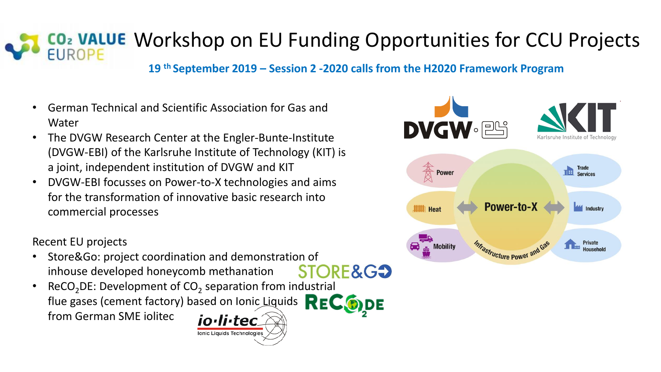## CO<sub>2</sub> VALUE Workshop on EU Funding Opportunities for CCU Projects

**19 th September 2019 – Session 2 -2020 calls from the H2020 Framework Program**

- German Technical and Scientific Association for Gas and Water
- The DVGW Research Center at the Engler-Bunte-Institute (DVGW-EBI) of the Karlsruhe Institute of Technology (KIT) is a joint, independent institution of DVGW and KIT
- DVGW-EBI focusses on Power-to-X technologies and aims for the transformation of innovative basic research into commercial processes

Recent EU projects

- Store&Go: project coordination and demonstration of STORE&G<sup>2</sup> inhouse developed honeycomb methanation
- ReCO<sub>2</sub>DE: Development of CO<sub>2</sub> separation from industrial flue gases (cement factory) based on Ionic Liquids REC DDE from German SME iolitecio·li·tec

Ionic Liquids Technologies

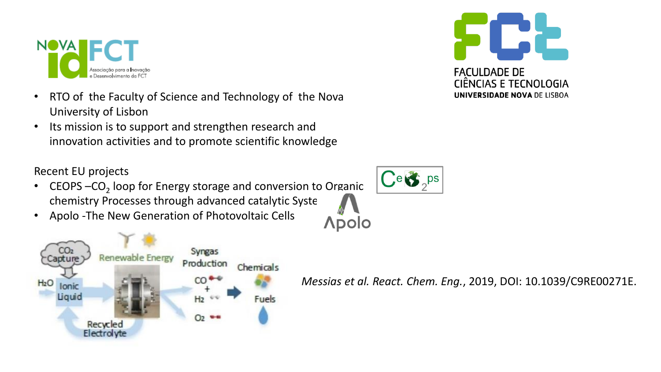

- RTO of the Faculty of Science and Technology of the Nova University of Lisbon
- Its mission is to support and strengthen research and innovation activities and to promote scientific knowledge

Recent EU projects

- CEOPS  $-CO_2$  loop for Energy storage and conversion to Organic chemistry Processes through advanced catalytic Syste
- Apolo -The New Generation of Photovoltaic Cells





*Messias et al. React. Chem. Eng.*, 2019, DOI: 10.1039/C9RE00271E.

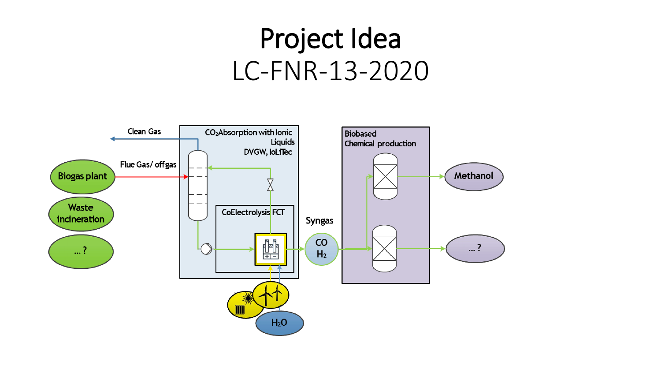## Project Idea LC-FNR-13-2020